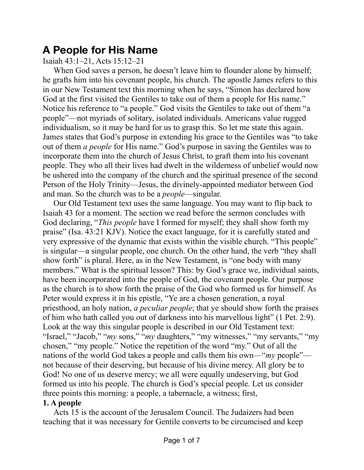## **A People for His Name**

Isaiah 43:1–21, Acts 15:12–21

When God saves a person, he doesn't leave him to flounder alone by himself; he grafts him into his covenant people, his church. The apostle James refers to this in our New Testament text this morning when he says, "Simon has declared how God at the first visited the Gentiles to take out of them a people for His name." Notice his reference to "a people." God visits the Gentiles to take out of them "a people"—not myriads of solitary, isolated individuals. Americans value rugged individualism, so it may be hard for us to grasp this. So let me state this again. James states that God's purpose in extending his grace to the Gentiles was "to take out of them *a people* for His name." God's purpose in saving the Gentiles was to incorporate them into the church of Jesus Christ, to graft them into his covenant people. They who all their lives had dwelt in the wilderness of unbelief would now be ushered into the company of the church and the spiritual presence of the second Person of the Holy Trinity—Jesus, the divinely-appointed mediator between God and man. So the church was to be a *people*—singular.

Our Old Testament text uses the same language. You may want to flip back to Isaiah 43 for a moment. The section we read before the sermon concludes with God declaring, "*This people* have I formed for myself; they shall show forth my praise" (Isa. 43:21 KJV). Notice the exact language, for it is carefully stated and very expressive of the dynamic that exists within the visible church. "This people" is singular—a singular people, one church. On the other hand, the verb "they shall show forth" is plural. Here, as in the New Testament, is "one body with many members." What is the spiritual lesson? This: by God's grace we, individual saints, have been incorporated into the people of God, the covenant people. Our purpose as the church is to show forth the praise of the God who formed us for himself. As Peter would express it in his epistle, "Ye are a chosen generation, a royal priesthood, an holy nation, *a peculiar people*; that ye should show forth the praises of him who hath called you out of darkness into his marvellous light" (1 Pet. 2:9). Look at the way this singular people is described in our Old Testament text: "Israel," "Jacob," "*my* sons," "*my* daughters," "my witnesses," "my servants," "my chosen," "my people." Notice the repetition of the word "my." Out of all the nations of the world God takes a people and calls them his own—"*my* people" not because of their deserving, but because of his divine mercy. All glory be to God! No one of us deserve mercy; we all were equally undeserving, but God formed us into his people. The church is God's special people. Let us consider three points this morning: a people, a tabernacle, a witness; first,

## **1. A people**

Acts 15 is the account of the Jerusalem Council. The Judaizers had been teaching that it was necessary for Gentile converts to be circumcised and keep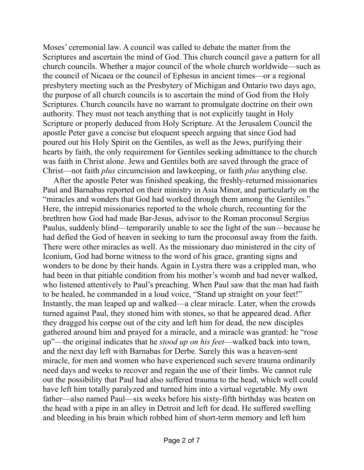Moses' ceremonial law. A council was called to debate the matter from the Scriptures and ascertain the mind of God. This church council gave a pattern for all church councils. Whether a major council of the whole church worldwide—such as the council of Nicaea or the council of Ephesus in ancient times—or a regional presbytery meeting such as the Presbytery of Michigan and Ontario two days ago, the purpose of all church councils is to ascertain the mind of God from the Holy Scriptures. Church councils have no warrant to promulgate doctrine on their own authority. They must not teach anything that is not explicitly taught in Holy Scripture or properly deduced from Holy Scripture. At the Jerusalem Council the apostle Peter gave a concise but eloquent speech arguing that since God had poured out his Holy Spirit on the Gentiles, as well as the Jews, purifying their hearts by faith, the only requirement for Gentiles seeking admittance to the church was faith in Christ alone. Jews and Gentiles both are saved through the grace of Christ—not faith *plus* circumcision and lawkeeping, or faith *plus* anything else.

After the apostle Peter was finished speaking, the freshly-returned missionaries Paul and Barnabas reported on their ministry in Asia Minor, and particularly on the "miracles and wonders that God had worked through them among the Gentiles." Here, the intrepid missionaries reported to the whole church, recounting for the brethren how God had made Bar-Jesus, advisor to the Roman proconsul Sergius Paulus, suddenly blind—temporarily unable to see the light of the sun—because he had defied the God of heaven in seeking to turn the proconsul away from the faith. There were other miracles as well. As the missionary duo ministered in the city of Iconium, God had borne witness to the word of his grace, granting signs and wonders to be done by their hands. Again in Lystra there was a crippled man, who had been in that pitiable condition from his mother's womb and had never walked, who listened attentively to Paul's preaching. When Paul saw that the man had faith to be healed, he commanded in a loud voice, "Stand up straight on your feet!" Instantly, the man leaped up and walked—a clear miracle. Later, when the crowds turned against Paul, they stoned him with stones, so that he appeared dead. After they dragged his corpse out of the city and left him for dead, the new disciples gathered around him and prayed for a miracle, and a miracle was granted: he "rose up"—the original indicates that he *stood up on his feet*—walked back into town, and the next day left with Barnabas for Derbe. Surely this was a heaven-sent miracle, for men and women who have experienced such severe trauma ordinarily need days and weeks to recover and regain the use of their limbs. We cannot rule out the possibility that Paul had also suffered trauma to the head, which well could have left him totally paralyzed and turned him into a virtual vegetable. My own father—also named Paul—six weeks before his sixty-fifth birthday was beaten on the head with a pipe in an alley in Detroit and left for dead. He suffered swelling and bleeding in his brain which robbed him of short-term memory and left him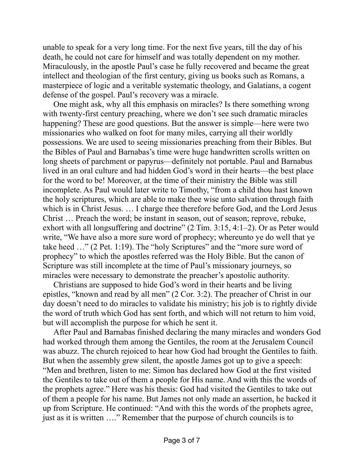unable to speak for a very long time. For the next five years, till the day of his death, he could not care for himself and was totally dependent on my mother. Miraculously, in the apostle Paul's case he fully recovered and became the great intellect and theologian of the first century, giving us books such as Romans, a masterpiece of logic and a veritable systematic theology, and Galatians, a cogent defense of the gospel. Paul's recovery was a miracle.

One might ask, why all this emphasis on miracles? Is there something wrong with twenty-first century preaching, where we don't see such dramatic miracles happening? These are good questions. But the answer is simple—here were two missionaries who walked on foot for many miles, carrying all their worldly possessions. We are used to seeing missionaries preaching from their Bibles. But the Bibles of Paul and Barnabas's time were huge handwritten scrolls written on long sheets of parchment or papyrus—definitely not portable. Paul and Barnabus lived in an oral culture and had hidden God's word in their hearts—the best place for the word to be! Moreover, at the time of their ministry the Bible was still incomplete. As Paul would later write to Timothy, "from a child thou hast known the holy scriptures, which are able to make thee wise unto salvation through faith which is in Christ Jesus. ... I charge thee therefore before God, and the Lord Jesus Christ … Preach the word; be instant in season, out of season; reprove, rebuke, exhort with all longsuffering and doctrine" (2 Tim. 3:15, 4:1–2). Or as Peter would write, "We have also a more sure word of prophecy; whereunto ye do well that ye take heed …" (2 Pet. 1:19). The "holy Scriptures" and the "more sure word of prophecy" to which the apostles referred was the Holy Bible. But the canon of Scripture was still incomplete at the time of Paul's missionary journeys, so miracles were necessary to demonstrate the preacher's apostolic authority.

Christians are supposed to hide God's word in their hearts and be living epistles, "known and read by all men" (2 Cor. 3:2). The preacher of Christ in our day doesn't need to do miracles to validate his ministry; his job is to rightly divide the word of truth which God has sent forth, and which will not return to him void, but will accomplish the purpose for which he sent it.

After Paul and Barnabas finished declaring the many miracles and wonders God had worked through them among the Gentiles, the room at the Jerusalem Council was abuzz. The church rejoiced to hear how God had brought the Gentiles to faith. But when the assembly grew silent, the apostle James got up to give a speech: "Men and brethren, listen to me: Simon has declared how God at the first visited the Gentiles to take out of them a people for His name. And with this the words of the prophets agree." Here was his thesis: God had visited the Gentiles to take out of them a people for his name. But James not only made an assertion, he backed it up from Scripture. He continued: "And with this the words of the prophets agree, just as it is written …." Remember that the purpose of church councils is to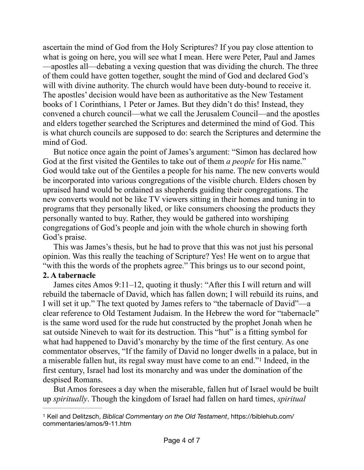ascertain the mind of God from the Holy Scriptures? If you pay close attention to what is going on here, you will see what I mean. Here were Peter, Paul and James —apostles all—debating a vexing question that was dividing the church. The three of them could have gotten together, sought the mind of God and declared God's will with divine authority. The church would have been duty-bound to receive it. The apostles' decision would have been as authoritative as the New Testament books of 1 Corinthians, 1 Peter or James. But they didn't do this! Instead, they convened a church council—what we call the Jerusalem Council—and the apostles and elders together searched the Scriptures and determined the mind of God. This is what church councils are supposed to do: search the Scriptures and determine the mind of God.

But notice once again the point of James's argument: "Simon has declared how God at the first visited the Gentiles to take out of them *a people* for His name." God would take out of the Gentiles a people for his name. The new converts would be incorporated into various congregations of the visible church. Elders chosen by upraised hand would be ordained as shepherds guiding their congregations. The new converts would not be like TV viewers sitting in their homes and tuning in to programs that they personally liked, or like consumers choosing the products they personally wanted to buy. Rather, they would be gathered into worshiping congregations of God's people and join with the whole church in showing forth God's praise.

This was James's thesis, but he had to prove that this was not just his personal opinion. Was this really the teaching of Scripture? Yes! He went on to argue that "with this the words of the prophets agree." This brings us to our second point,

## **2. A tabernacle**

James cites Amos 9:11–12, quoting it thusly: "After this I will return and will rebuild the tabernacle of David, which has fallen down; I will rebuild its ruins, and I will set it up." The text quoted by James refers to "the tabernacle of David"—a clear reference to Old Testament Judaism. In the Hebrew the word for "tabernacle" is the same word used for the rude hut constructed by the prophet Jonah when he sat outside Nineveh to wait for its destruction. This "hut" is a fitting symbol for what had happened to David's monarchy by the time of the first century. As one commentator observes, "If the family of David no longer dwells in a palace, but in amiserable fallen hut, its regal sway must have come to an end."<sup>[1](#page-3-0)</sup> Indeed, in the first century, Israel had lost its monarchy and was under the domination of the despised Romans.

<span id="page-3-1"></span>But Amos foresees a day when the miserable, fallen hut of Israel would be built up *spiritually*. Though the kingdom of Israel had fallen on hard times, *spiritual*

<span id="page-3-0"></span><sup>&</sup>lt;sup>[1](#page-3-1)</sup> Keil and Delitzsch, *Biblical Commentary on the Old Testament*, https://biblehub.com/ commentaries/amos/9-11.htm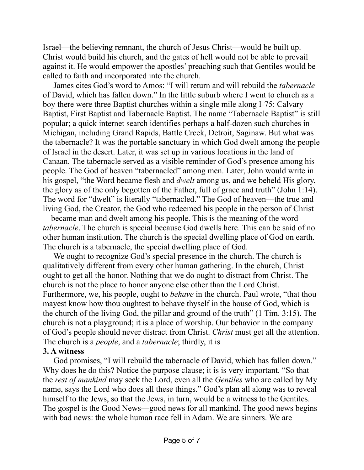Israel—the believing remnant, the church of Jesus Christ—would be built up. Christ would build his church, and the gates of hell would not be able to prevail against it. He would empower the apostles' preaching such that Gentiles would be called to faith and incorporated into the church.

James cites God's word to Amos: "I will return and will rebuild the *tabernacle* of David, which has fallen down." In the little suburb where I went to church as a boy there were three Baptist churches within a single mile along I-75: Calvary Baptist, First Baptist and Tabernacle Baptist. The name "Tabernacle Baptist" is still popular; a quick internet search identifies perhaps a half-dozen such churches in Michigan, including Grand Rapids, Battle Creek, Detroit, Saginaw. But what was the tabernacle? It was the portable sanctuary in which God dwelt among the people of Israel in the desert. Later, it was set up in various locations in the land of Canaan. The tabernacle served as a visible reminder of God's presence among his people. The God of heaven "tabernacled" among men. Later, John would write in his gospel, "the Word became flesh and *dwelt* among us, and we beheld His glory, the glory as of the only begotten of the Father, full of grace and truth" (John 1:14). The word for "dwelt" is literally "tabernacled." The God of heaven—the true and living God, the Creator, the God who redeemed his people in the person of Christ —became man and dwelt among his people. This is the meaning of the word *tabernacle*. The church is special because God dwells here. This can be said of no other human institution. The church is the special dwelling place of God on earth. The church is a tabernacle, the special dwelling place of God.

We ought to recognize God's special presence in the church. The church is qualitatively different from every other human gathering. In the church, Christ ought to get all the honor. Nothing that we do ought to distract from Christ. The church is not the place to honor anyone else other than the Lord Christ. Furthermore, we, his people, ought to *behave* in the church. Paul wrote, "that thou mayest know how thou oughtest to behave thyself in the house of God, which is the church of the living God, the pillar and ground of the truth" (1 Tim. 3:15). The church is not a playground; it is a place of worship. Our behavior in the company of God's people should never distract from Christ. *Christ* must get all the attention. The church is a *people*, and a *tabernacle*; thirdly, it is

## **3. A witness**

God promises, "I will rebuild the tabernacle of David, which has fallen down." Why does he do this? Notice the purpose clause; it is is very important. "So that the *rest of mankind* may seek the Lord, even all the *Gentiles* who are called by My name, says the Lord who does all these things." God's plan all along was to reveal himself to the Jews, so that the Jews, in turn, would be a witness to the Gentiles. The gospel is the Good News—good news for all mankind. The good news begins with bad news: the whole human race fell in Adam. We are sinners. We are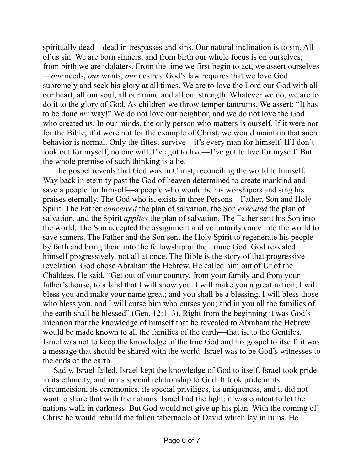spiritually dead—dead in trespasses and sins. Our natural inclination is to sin. All of us sin. We are born sinners, and from birth our whole focus is on ourselves; from birth we are idolaters. From the time we first begin to act, we assert ourselves —*our* needs, *our* wants, *our* desires. God's law requires that we love God supremely and seek his glory at all times. We are to love the Lord our God with all our heart, all our soul, all our mind and all our strength. Whatever we do, we are to do it to the glory of God. As children we throw temper tantrums. We assert: "It has to be done *my* way!" We do not love our neighbor, and we do not love the God who created us. In our minds, the only person who matters is ourself. If it were not for the Bible, if it were not for the example of Christ, we would maintain that such behavior is normal. Only the fittest survive—it's every man for himself. If I don't look out for myself, no one will. I've got to live—I've got to live for myself. But the whole premise of such thinking is a lie.

The gospel reveals that God was in Christ, reconciling the world to himself. Way back in eternity past the God of heaven determined to create mankind and save a people for himself—a people who would be his worshipers and sing his praises eternally. The God who is, exists in three Persons—Father, Son and Holy Spirit. The Father *conceived* the plan of salvation, the Son *executed* the plan of salvation, and the Spirit *applies* the plan of salvation. The Father sent his Son into the world. The Son accepted the assignment and voluntarily came into the world to save sinners. The Father and the Son sent the Holy Spirit to regenerate his people by faith and bring them into the fellowship of the Triune God. God revealed himself progressively, not all at once. The Bible is the story of that progressive revelation. God chose Abraham the Hebrew. He called him out of Ur of the Chaldees. He said, "Get out of your country, from your family and from your father's house, to a land that I will show you. I will make you a great nation; I will bless you and make your name great; and you shall be a blessing. I will bless those who bless you, and I will curse him who curses you; and in you all the families of the earth shall be blessed" (Gen.  $12:1-3$ ). Right from the beginning it was God's intention that the knowledge of himself that he revealed to Abraham the Hebrew would be made known to all the families of the earth—that is, to the Gentiles. Israel was not to keep the knowledge of the true God and his gospel to itself; it was a message that should be shared with the world. Israel was to be God's witnesses to the ends of the earth.

Sadly, Israel failed. Israel kept the knowledge of God to itself. Israel took pride in its ethnicity, and in its special relationship to God. It took pride in its circumcision, its ceremonies, its special priviliges, its uniqueness, and it did not want to share that with the nations. Israel had the light; it was content to let the nations walk in darkness. But God would not give up his plan. With the coming of Christ he would rebuild the fallen tabernacle of David which lay in ruins. He